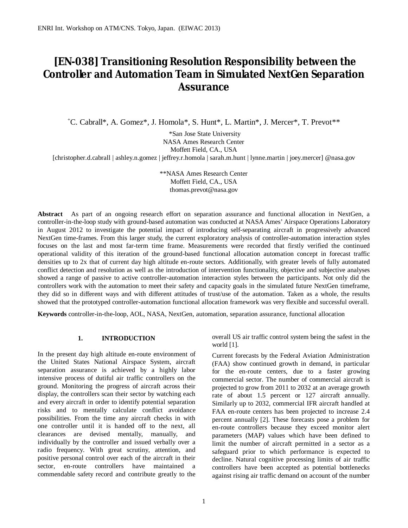# **[EN-038] Transitioning Resolution Responsibility between the Controller and Automation Team in Simulated NextGen Separation Assurance**

<sup>+</sup>C. Cabrall\*, A. Gomez\*, J. Homola\*, S. Hunt\*, L. Martin\*, J. Mercer\*, T. Prevot\*\*

 \*San Jose State University NASA Ames Research Center Moffett Field, CA., USA

[christopher.d.cabrall | ashley.n.gomez | jeffrey.r.homola | sarah.m.hunt | lynne.martin | joey.mercer] @nasa.gov

\*\*NASA Ames Research Center Moffett Field, CA., USA thomas.prevot@nasa.gov

**Abstract** As part of an ongoing research effort on separation assurance and functional allocation in NextGen, a controller-in-the-loop study with ground-based automation was conducted at NASA Ames' Airspace Operations Laboratory in August 2012 to investigate the potential impact of introducing self-separating aircraft in progressively advanced NextGen time-frames. From this larger study, the current exploratory analysis of controller-automation interaction styles focuses on the last and most far-term time frame. Measurements were recorded that firstly verified the continued operational validity of this iteration of the ground-based functional allocation automation concept in forecast traffic densities up to 2x that of current day high altitude en-route sectors. Additionally, with greater levels of fully automated conflict detection and resolution as well as the introduction of intervention functionality, objective and subjective analyses showed a range of passive to active controller-automation interaction styles between the participants. Not only did the controllers work with the automation to meet their safety and capacity goals in the simulated future NextGen timeframe, they did so in different ways and with different attitudes of trust/use of the automation. Taken as a whole, the results showed that the prototyped controller-automation functional allocation framework was very flexible and successful overall.

**Keywords** controller-in-the-loop, AOL, NASA, NextGen, automation, separation assurance, functional allocation

## **1. INTRODUCTION**

In the present day high altitude en-route environment of the United States National Airspace System, aircraft separation assurance is achieved by a highly labor intensive process of dutiful air traffic controllers on the ground. Monitoring the progress of aircraft across their display, the controllers scan their sector by watching each and every aircraft in order to identify potential separation risks and to mentally calculate conflict avoidance possibilities. From the time any aircraft checks in with one controller until it is handed off to the next, all clearances are devised mentally, manually, and individually by the controller and issued verbally over a radio frequency. With great scrutiny, attention, and positive personal control over each of the aircraft in their sector, en-route controllers have maintained a commendable safety record and contribute greatly to the

overall US air traffic control system being the safest in the world [1].

Current forecasts by the Federal Aviation Administration (FAA) show continued growth in demand, in particular for the en-route centers, due to a faster growing commercial sector. The number of commercial aircraft is projected to grow from 2011 to 2032 at an average growth rate of about 1.5 percent or 127 aircraft annually. Similarly up to 2032, commercial IFR aircraft handled at FAA en-route centers has been projected to increase 2.4 percent annually [2]. These forecasts pose a problem for en-route controllers because they exceed monitor alert parameters (MAP) values which have been defined to limit the number of aircraft permitted in a sector as a safeguard prior to which performance is expected to decline. Natural cognitive processing limits of air traffic controllers have been accepted as potential bottlenecks against rising air traffic demand on account of the number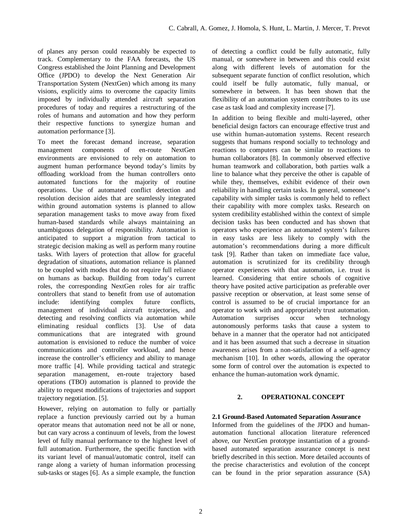of planes any person could reasonably be expected to track. Complementary to the FAA forecasts, the US Congress established the Joint Planning and Development Office (JPDO) to develop the Next Generation Air Transportation System (NextGen) which among its many visions, explicitly aims to overcome the capacity limits imposed by individually attended aircraft separation procedures of today and requires a restructuring of the roles of humans and automation and how they perform their respective functions to synergize human and automation performance [3].

To meet the forecast demand increase, separation management components of en-route NextGen environments are envisioned to rely on automation to augment human performance beyond today's limits by offloading workload from the human controllers onto automated functions for the majority of routine operations. Use of automated conflict detection and resolution decision aides that are seamlessly integrated within ground automation systems is planned to allow separation management tasks to move away from fixed human-based standards while always maintaining an unambiguous delegation of responsibility. Automation is anticipated to support a migration from tactical to strategic decision making as well as perform many routine tasks. With layers of protection that allow for graceful degradation of situations, automation reliance is planned to be coupled with modes that do not require full reliance on humans as backup. Building from today's current roles, the corresponding NextGen roles for air traffic controllers that stand to benefit from use of automation include: identifying complex future conflicts, management of individual aircraft trajectories, and detecting and resolving conflicts via automation while eliminating residual conflicts [3]. Use of data communications that are integrated with ground automation is envisioned to reduce the number of voice communications and controller workload, and hence increase the controller's efficiency and ability to manage more traffic [4]. While providing tactical and strategic separation management, en-route trajectory based operations (TBO) automation is planned to provide the ability to request modifications of trajectories and support trajectory negotiation. [5].

However, relying on automation to fully or partially replace a function previously carried out by a human operator means that automation need not be all or none, but can vary across a continuum of levels, from the lowest level of fully manual performance to the highest level of full automation. Furthermore, the specific function with its variant level of manual/automatic control, itself can range along a variety of human information processing sub-tasks or stages [6]. As a simple example, the function

of detecting a conflict could be fully automatic, fully manual, or somewhere in between and this could exist along with different levels of automation for the subsequent separate function of conflict resolution, which could itself be fully automatic, fully manual, or somewhere in between. It has been shown that the flexibility of an automation system contributes to its use case as task load and complexity increase [7].

In addition to being flexible and multi-layered, other beneficial design factors can encourage effective trust and use within human-automation systems. Recent research suggests that humans respond socially to technology and reactions to computers can be similar to reactions to human collaborators [8]. In commonly observed effective human teamwork and collaboration, both parties walk a line to balance what they perceive the other is capable of while they, themselves, exhibit evidence of their own reliability in handling certain tasks. In general, someone's capability with simpler tasks is commonly held to reflect their capability with more complex tasks. Research on system credibility established within the context of simple decision tasks has been conducted and has shown that operators who experience an automated system's failures in easy tasks are less likely to comply with the automation's recommendations during a more difficult task [9]. Rather than taken on immediate face value, automation is scrutinized for its credibility through operator experiences with that automation, i.e. trust is learned. Considering that entire schools of cognitive theory have posited active participation as preferable over passive reception or observation, at least some sense of control is assumed to be of crucial importance for an operator to work with and appropriately trust automation. Automation surprises occur when technology autonomously performs tasks that cause a system to behave in a manner that the operator had not anticipated and it has been assumed that such a decrease in situation awareness arises from a non-satisfaction of a self-agency mechanism [10]. In other words, allowing the operator some form of control over the automation is expected to enhance the human-automation work dynamic.

# **2. OPERATIONAL CONCEPT**

# **2.1 Ground-Based Automated Separation Assurance**

Informed from the guidelines of the JPDO and humanautomation functional allocation literature referenced above, our NextGen prototype instantiation of a groundbased automated separation assurance concept is next briefly described in this section. More detailed accounts of the precise characteristics and evolution of the concept can be found in the prior separation assurance (SA)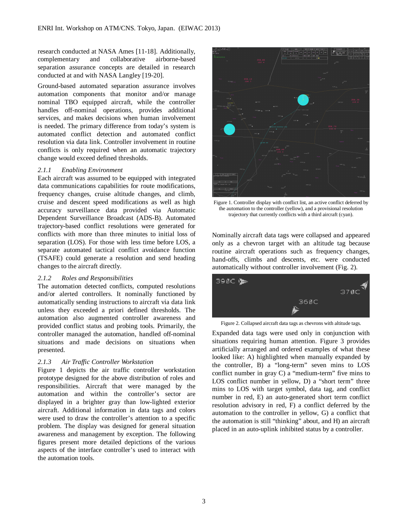research conducted at NASA Ames [11-18]. Additionally, complementary and collaborative airborne-based separation assurance concepts are detailed in research conducted at and with NASA Langley [19-20].

Ground-based automated separation assurance involves automation components that monitor and/or manage nominal TBO equipped aircraft, while the controller handles off-nominal operations, provides additional services, and makes decisions when human involvement is needed. The primary difference from today's system is automated conflict detection and automated conflict resolution via data link. Controller involvement in routine conflicts is only required when an automatic trajectory change would exceed defined thresholds.

# *2.1.1 Enabling Environment*

Each aircraft was assumed to be equipped with integrated data communications capabilities for route modifications, frequency changes, cruise altitude changes, and climb, cruise and descent speed modifications as well as high accuracy surveillance data provided via Automatic Dependent Surveillance Broadcast (ADS-B). Automated trajectory-based conflict resolutions were generated for conflicts with more than three minutes to initial loss of separation (LOS). For those with less time before LOS, a separate automated tactical conflict avoidance function (TSAFE) could generate a resolution and send heading changes to the aircraft directly.

## *2.1.2 Roles and Responsibilities*

The automation detected conflicts, computed resolutions and/or alerted controllers. It nominally functioned by automatically sending instructions to aircraft via data link unless they exceeded a priori defined thresholds. The automation also augmented controller awareness and provided conflict status and probing tools. Primarily, the controller managed the automation, handled off-nominal situations and made decisions on situations when presented.

## *2.1.3 Air Traffic Controller Workstation*

Figure 1 depicts the air traffic controller workstation prototype designed for the above distribution of roles and responsibilities. Aircraft that were managed by the automation and within the controller's sector are displayed in a brighter gray than low-lighted exterior aircraft. Additional information in data tags and colors were used to draw the controller's attention to a specific problem. The display was designed for general situation awareness and management by exception. The following figures present more detailed depictions of the various aspects of the interface controller's used to interact with the automation tools.



Figure 1. Controller display with conflict list, an active conflict deferred by the automation to the controller (yellow), and a provisional resolution trajectory that currently conflicts with a third aircraft (cyan).

Nominally aircraft data tags were collapsed and appeared only as a chevron target with an altitude tag because routine aircraft operations such as frequency changes, hand-offs, climbs and descents, etc. were conducted automatically without controller involvement (Fig. 2).



Figure 2. Collapsed aircraft data tags as chevrons with altitude tags.

Expanded data tags were used only in conjunction with situations requiring human attention. Figure 3 provides artificially arranged and ordered examples of what these looked like: A) highlighted when manually expanded by the controller, B) a "long-term" seven mins to LOS conflict number in gray C) a "medium-term" five mins to LOS conflict number in yellow, D) a "short term" three mins to LOS with target symbol, data tag, and conflict number in red, E) an auto-generated short term conflict resolution advisory in red, F) a conflict deferred by the automation to the controller in yellow, G) a conflict that the automation is still "thinking" about, and H) an aircraft placed in an auto-uplink inhibited status by a controller.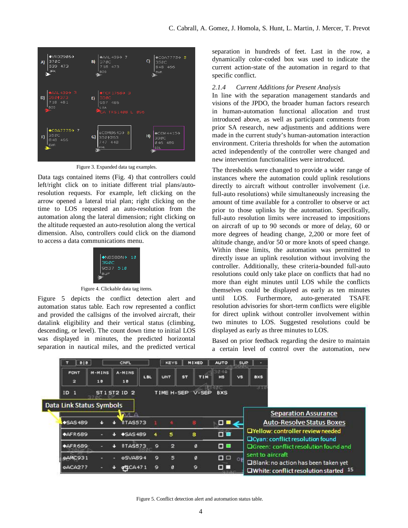

Figure 3. Expanded data tag examples.

Data tags contained items (Fig. 4) that controllers could left/right click on to initiate different trial plans/autoresolution requests. For example, left clicking on the arrow opened a lateral trial plan; right clicking on the time to LOS requested an auto-resolution from the automation along the lateral dimension; right clicking on the altitude requested an auto-resolution along the vertical dimension. Also, controllers could click on the diamond to access a data communications menu.



Figure 4. Clickable data tag items.

Figure 5 depicts the conflict detection alert and automation status table. Each row represented a conflict and provided the callsigns of the involved aircraft, their datalink eligibility and their vertical status (climbing, descending, or level). The count down time to initial LOS was displayed in minutes, the predicted horizontal separation in nautical miles, and the predicted vertical separation in hundreds of feet. Last in the row, a dynamically color-coded box was used to indicate the current action-state of the automation in regard to that specific conflict.

#### *2.1.4 Current Additions for Present Analysis*

In line with the separation management standards and visions of the JPDO, the broader human factors research in human-automation functional allocation and trust introduced above, as well as participant comments from prior SA research, new adjustments and additions were made in the current study's human-automation interaction environment. Criteria thresholds for when the automation acted independently of the controller were changed and new intervention functionalities were introduced.

The thresholds were changed to provide a wider range of instances where the automation could uplink resolutions directly to aircraft without controller involvement (i.e. full-auto resolutions) while simultaneously increasing the amount of time available for a controller to observe or act prior to those uplinks by the automation. Specifically, full-auto resolution limits were increased to impositions on aircraft of up to 90 seconds or more of delay, 60 or more degrees of heading change, 2,200 or more feet of altitude change, and/or 50 or more knots of speed change. Within these limits, the automation was permitted to directly issue an uplink resolution without involving the controller. Additionally, these criteria-bounded full-auto resolutions could only take place on conflicts that had no more than eight minutes until LOS while the conflicts themselves could be displayed as early as ten minutes until LOS. Furthermore, auto-generated TSAFE resolution advisories for short-term conflicts were eligible for direct uplink without controller involvement within two minutes to LOS. Suggested resolutions could be displayed as early as three minutes to LOS.

Based on prior feedback regarding the desire to maintain a certain level of control over the automation, new

| B B                      |                | CNFL           |     | <b>KEYS</b> |     | <b>MIXED</b> | <b>AUTO</b> | SUP       |            |                                                                                  |
|--------------------------|----------------|----------------|-----|-------------|-----|--------------|-------------|-----------|------------|----------------------------------------------------------------------------------|
| FONT<br>2                | $M-MINS$<br>18 | A-MINS<br>18   | LBL | UNT         | ST. | TIM          | <b>HS</b>   | <b>VS</b> | <b>BXS</b> |                                                                                  |
| ID <sub>1</sub>          |                | ST 1 ST 2 ID 2 |     | TIME H-SEP  |     | V-SEP        | <b>BXS</b>  |           | COL        |                                                                                  |
| Data Link Status Symbols |                |                |     |             |     |              |             |           |            |                                                                                  |
|                          |                | <b>BVLA</b>    |     |             |     |              |             |           |            | <b>Separation Assurance</b>                                                      |
|                          |                |                |     |             |     |              |             |           |            |                                                                                  |
| <b>+SAS489</b>           |                | TTAS573        |     |             |     |              | oα          |           |            | <b>Auto-Resolve Status Boxes</b>                                                 |
| <b>*AFR689</b>           |                | <b>+SAS489</b> |     | s           |     | 8            | $\Box$      |           |            | <b>Civilibrary:</b> controller review needed                                     |
| <b><i>AFR689</i></b>     |                | ftTAS573       |     | 2<br>۰      |     | ø            | <b>00</b>   |           |            | <b>OCyan:</b> conflict resolution found<br>CGreen: conflict resolution found and |
| OAMC931                  |                | <b>0SVA894</b> |     | 5<br>۰      |     | ø            | 00          | C F       |            | sent to aircraft<br><b>OBlank: no action has been taken yet</b>                  |

Figure 5. Conflict detection alert and automation status table.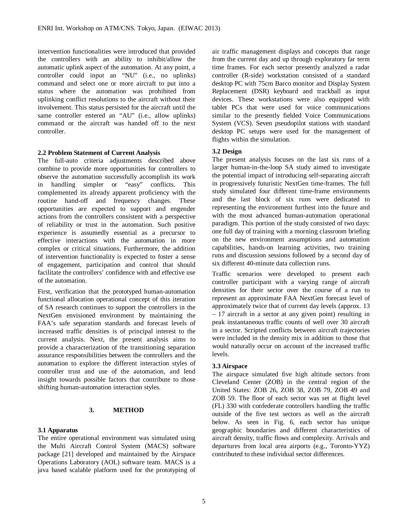intervention functionalities were introduced that provided the controllers with an ability to inhibit/allow the automatic uplink aspect of the automation. At any point, a controller could input an "NU" (i.e., no uplinks) command and select one or more aircraft to put into a status where the automation was prohibited from uplinking conflict resolutions to the aircraft without their involvement. This status persisted for the aircraft until the same controller entered an "AU" (i.e., allow uplinks) command or the aircraft was handed off to the next controller.

# **2.2 Problem Statement of Current Analysis**

The full-auto criteria adjustments described above combine to provide more opportunities for controllers to observe the automation successfully accomplish its work in handling simpler or "easy" conflicts. This complemented its already apparent proficiency with the routine hand-off and frequency changes. These opportunities are expected to support and engender actions from the controllers consistent with a perspective of reliability or trust in the automation. Such positive experience is assumedly essential as a precursor to effective interactions with the automation in more complex or critical situations. Furthermore, the addition of intervention functionality is expected to foster a sense of engagement, participation and control that should facilitate the controllers' confidence with and effective use of the automation.

First, verification that the prototyped human-automation functional allocation operational concept of this iteration of SA research continues to support the controllers in the NextGen envisioned environment by maintaining the FAA's safe separation standards and forecast levels of increased traffic densities is of principal interest to the current analysis. Next, the present analysis aims to provide a characterization of the transitioning separation assurance responsibilities between the controllers and the automation to explore the different interaction styles of controller trust and use of the automation, and lend insight towards possible factors that contribute to those shifting human-automation interaction styles.

# **3. METHOD**

# **3.1 Apparatus**

The entire operational environment was simulated using the Multi Aircraft Control System (MACS) software package [21] developed and maintained by the Airspace Operations Laboratory (AOL) software team. MACS is a java based scalable platform used for the prototyping of air traffic management displays and concepts that range from the current day and up through exploratory far term time frames. For each sector presently analyzed a radar controller (R-side) workstation consisted of a standard desktop PC with 75cm Barco monitor and Display System Replacement (DSR) keyboard and trackball as input devices. These workstations were also equipped with tablet PCs that were used for voice communications similar to the presently fielded Voice Communications System (VCS). Seven pseudopilot stations with standard desktop PC setups were used for the management of flights within the simulation.

## **3.2 Design**

The present analysis focuses on the last six runs of a larger human-in-the-loop SA study aimed to investigate the potential impact of introducing self-separating aircraft in progressively futuristic NextGen time-frames. The full study simulated four different time-frame environments and the last block of six runs were dedicated to representing the environment furthest into the future and with the most advanced human-automation operational paradigm. This portion of the study consisted of two days: one full day of training with a morning classroom briefing on the new environment assumptions and automation capabilities, hands-on learning activities, two training runs and discussion sessions followed by a second day of six different 40-minute data collection runs.

Traffic scenarios were developed to present each controller participant with a varying range of aircraft densities for their sector over the course of a run to represent an approximate FAA NextGen forecast level of approximately twice that of current day levels (approx. 13 – 17 aircraft in a sector at any given point) resulting in peak instantaneous traffic counts of well over 30 aircraft in a sector. Scripted conflicts between aircraft trajectories were included in the density mix in addition to those that would naturally occur on account of the increased traffic levels.

## **3.3 Airspace**

The airspace simulated five high altitude sectors from Cleveland Center (ZOB) in the central region of the United States: ZOB 26, ZOB 38, ZOB 79, ZOB 49 and ZOB 59. The floor of each sector was set at flight level (FL) 330 with confederate controllers handling the traffic outside of the five test sectors as well as the aircraft below. As seen in Fig. 6, each sector has unique geographic boundaries and different characteristics of aircraft density, traffic flows and complexity. Arrivals and departures from local area airports (e.g., Toronto-YYZ) contributed to these individual sector differences.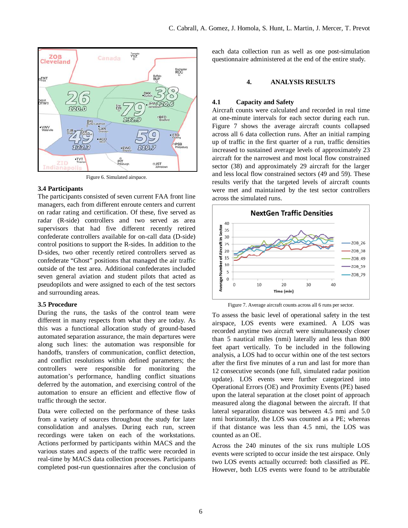

Figure 6. Simulated airspace.

## **3.4 Participants**

The participants consisted of seven current FAA front line managers, each from different enroute centers and current on radar rating and certification. Of these, five served as radar (R-side) controllers and two served as area supervisors that had five different recently retired confederate controllers available for on-call data (D-side) control positions to support the R-sides. In addition to the D-sides, two other recently retired controllers served as confederate "Ghost" positions that managed the air traffic outside of the test area. Additional confederates included seven general aviation and student pilots that acted as pseudopilots and were assigned to each of the test sectors and surrounding areas.

## **3.5 Procedure**

During the runs, the tasks of the control team were different in many respects from what they are today. As this was a functional allocation study of ground-based automated separation assurance, the main departures were along such lines: the automation was responsible for handoffs, transfers of communication, conflict detection, and conflict resolutions within defined parameters; the controllers were responsible for monitoring the automation's performance, handling conflict situations deferred by the automation, and exercising control of the automation to ensure an efficient and effective flow of traffic through the sector.

Data were collected on the performance of these tasks from a variety of sources throughout the study for later consolidation and analyses. During each run, screen recordings were taken on each of the workstations. Actions performed by participants within MACS and the various states and aspects of the traffic were recorded in real-time by MACS data collection processes. Participants completed post-run questionnaires after the conclusion of each data collection run as well as one post-simulation questionnaire administered at the end of the entire study.

#### **4. ANALYSIS RESULTS**

# **4.1 Capacity and Safety**

Aircraft counts were calculated and recorded in real time at one-minute intervals for each sector during each run. Figure 7 shows the average aircraft counts collapsed across all 6 data collection runs. After an initial ramping up of traffic in the first quarter of a run, traffic densities increased to sustained average levels of approximately 23 aircraft for the narrowest and most local flow constrained sector (38) and approximately 29 aircraft for the larger and less local flow constrained sectors (49 and 59). These results verify that the targeted levels of aircraft counts were met and maintained by the test sector controllers across the simulated runs.



Figure 7. Average aircraft counts across all 6 runs per sector.

To assess the basic level of operational safety in the test airspace, LOS events were examined. A LOS was recorded anytime two aircraft were simultaneously closer than 5 nautical miles (nmi) laterally and less than 800 feet apart vertically. To be included in the following analysis, a LOS had to occur within one of the test sectors after the first five minutes of a run and last for more than 12 consecutive seconds (one full, simulated radar position update). LOS events were further categorized into Operational Errors (OE) and Proximity Events (PE) based upon the lateral separation at the closet point of approach measured along the diagonal between the aircraft. If that lateral separation distance was between 4.5 nmi and 5.0 nmi horizontally, the LOS was counted as a PE; whereas if that distance was less than 4.5 nmi, the LOS was counted as an OE.

Across the 240 minutes of the six runs multiple LOS events were scripted to occur inside the test airspace. Only two LOS events actually occurred: both classified as PE. However, both LOS events were found to be attributable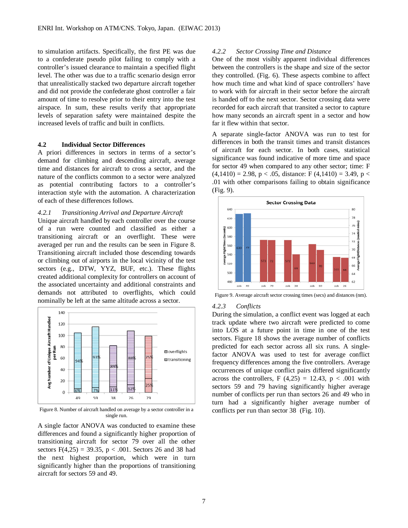to simulation artifacts. Specifically, the first PE was due to a confederate pseudo pilot failing to comply with a controller's issued clearance to maintain a specified flight level. The other was due to a traffic scenario design error that unrealistically stacked two departure aircraft together and did not provide the confederate ghost controller a fair amount of time to resolve prior to their entry into the test airspace. In sum, these results verify that appropriate levels of separation safety were maintained despite the increased levels of traffic and built in conflicts.

## **4.2 Individual Sector Differences**

A priori differences in sectors in terms of a sector's demand for climbing and descending aircraft, average time and distances for aircraft to cross a sector, and the nature of the conflicts common to a sector were analyzed as potential contributing factors to a controller's interaction style with the automation. A characterization of each of these differences follows.

# *4.2.1 Transitioning Arrival and Departure Aircraft*

Unique aircraft handled by each controller over the course of a run were counted and classified as either a transitioning aircraft or an overflight. These were averaged per run and the results can be seen in Figure 8. Transitioning aircraft included those descending towards or climbing out of airports in the local vicinity of the test sectors (e.g., DTW, YYZ, BUF, etc.). These flights created additional complexity for controllers on account of the associated uncertainty and additional constraints and demands not attributed to overflights, which could nominally be left at the same altitude across a sector.



Figure 8. Number of aircraft handled on average by a sector controller in a single run.

A single factor ANOVA was conducted to examine these differences and found a significantly higher proportion of transitioning aircraft for sector 79 over all the other sectors  $F(4,25) = 39.35$ ,  $p < .001$ . Sectors 26 and 38 had the next highest proportion, which were in turn significantly higher than the proportions of transitioning aircraft for sectors 59 and 49.

# *4.2.2 Sector Crossing Time and Distance*

One of the most visibly apparent individual differences between the controllers is the shape and size of the sector they controlled. (Fig. 6). These aspects combine to affect how much time and what kind of space controllers' have to work with for aircraft in their sector before the aircraft is handed off to the next sector. Sector crossing data were recorded for each aircraft that transited a sector to capture how many seconds an aircraft spent in a sector and how far it flew within that sector.

A separate single-factor ANOVA was run to test for differences in both the transit times and transit distances of aircraft for each sector. In both cases, statistical significance was found indicative of more time and space for sector 49 when compared to any other sector; time: F  $(4,1410) = 2.98$ , p < .05, distance: F  $(4,1410) = 3.49$ , p < .01 with other comparisons failing to obtain significance (Fig. 9).



Figure 9. Average aircraft sector crossing times (secs) and distances (nm).

#### *4.2.3 Conflicts*

During the simulation, a conflict event was logged at each track update where two aircraft were predicted to come into LOS at a future point in time in one of the test sectors. Figure 18 shows the average number of conflicts predicted for each sector across all six runs. A singlefactor ANOVA was used to test for average conflict frequency differences among the five controllers. Average occurrences of unique conflict pairs differed significantly across the controllers,  $F(4,25) = 12.43$ ,  $p < .001$  with sectors 59 and 79 having significantly higher average number of conflicts per run than sectors 26 and 49 who in turn had a significantly higher average number of conflicts per run than sector 38 (Fig. 10).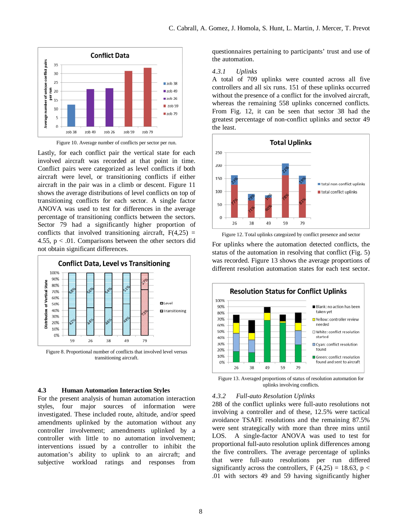



Lastly, for each conflict pair the vertical state for each involved aircraft was recorded at that point in time. Conflict pairs were categorized as level conflicts if both aircraft were level, or transitioning conflicts if either aircraft in the pair was in a climb or descent. Figure 11 shows the average distributions of level conflicts on top of transitioning conflicts for each sector. A single factor ANOVA was used to test for differences in the average percentage of transitioning conflicts between the sectors. Sector 79 had a significantly higher proportion of conflicts that involved transitioning aircraft,  $F(4,25) =$ 4.55,  $p < .01$ . Comparisons between the other sectors did not obtain significant differences.



Figure 8. Proportional number of conflicts that involved level versus transitioning aircraft.

#### **4.3 Human Automation Interaction Styles**

For the present analysis of human automation interaction styles, four major sources of information were investigated. These included route, altitude, and/or speed amendments uplinked by the automation without any controller involvement; amendments uplinked by a controller with little to no automation involvement; interventions issued by a controller to inhibit the automation's ability to uplink to an aircraft; and subjective workload ratings and responses from questionnaires pertaining to participants' trust and use of the automation.

#### *4.3.1 Uplinks*

A total of 709 uplinks were counted across all five controllers and all six runs. 151 of these uplinks occurred without the presence of a conflict for the involved aircraft, whereas the remaining 558 uplinks concerned conflicts. From Fig. 12, it can be seen that sector 38 had the greatest percentage of non-conflict uplinks and sector 49 the least.



Figure 12. Total uplinks categoized by conflict presence and sector

For uplinks where the automation detected conflicts, the status of the automation in resolving that conflict (Fig. 5) was recorded. Figure 13 shows the average proportions of different resolution automation states for each test sector.



Figure 13. Averaged proportions of status of resolution automation for uplinks involving conflicts.

#### *4.3.2 Full-auto Resolution Uplinks*

288 of the conflict uplinks were full-auto resolutions not involving a controller and of these, 12.5% were tactical avoidance TSAFE resolutions and the remaining 87.5% were sent strategically with more than three mins until LOS. A single-factor ANOVA was used to test for proportional full-auto resolution uplink differences among the five controllers. The average percentage of uplinks that were full-auto resolutions per run differed significantly across the controllers, F  $(4.25) = 18.63$ , p < .01 with sectors 49 and 59 having significantly higher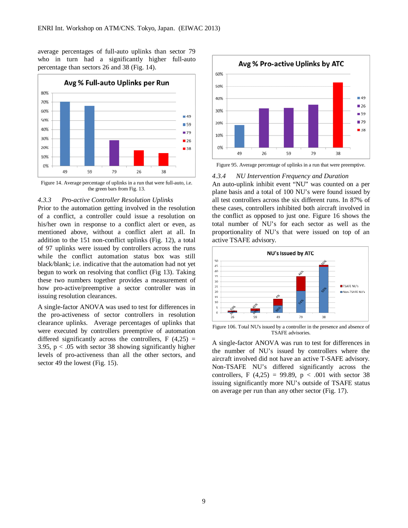average percentages of full-auto uplinks than sector 79 who in turn had a significantly higher full-auto percentage than sectors 26 and 38 (Fig. 14).



Figure 14. Average percentage of uplinks in a run that were full-auto, i.e. the green bars from Fig. 13.

## *4.3.3 Pro-active Controller Resolution Uplinks*

Prior to the automation getting involved in the resolution of a conflict, a controller could issue a resolution on his/her own in response to a conflict alert or even, as mentioned above, without a conflict alert at all. In addition to the 151 non-conflict uplinks (Fig. 12), a total of 97 uplinks were issued by controllers across the runs while the conflict automation status box was still black/blank; i.e. indicative that the automation had not yet begun to work on resolving that conflict (Fig 13). Taking these two numbers together provides a measurement of how pro-active/preemptive a sector controller was in issuing resolution clearances.

A single-factor ANOVA was used to test for differences in the pro-activeness of sector controllers in resolution clearance uplinks. Average percentages of uplinks that were executed by controllers preemptive of automation differed significantly across the controllers,  $F(4,25) =$ 3.95,  $p < .05$  with sector 38 showing significantly higher levels of pro-activeness than all the other sectors, and sector 49 the lowest (Fig. 15).



Figure 95. Average percentage of uplinks in a run that were preemptive.

## *4.3.4 NU Intervention Frequency and Duration*

An auto-uplink inhibit event "NU" was counted on a per plane basis and a total of 100 NU's were found issued by all test controllers across the six different runs. In 87% of these cases, controllers inhibited both aircraft involved in the conflict as opposed to just one. Figure 16 shows the total number of NU's for each sector as well as the proportionality of NU's that were issued on top of an active TSAFE advisory.



Figure 106. Total NU's issued by a controller in the presence and absence of TSAFE advisories.

A single-factor ANOVA was run to test for differences in the number of NU's issued by controllers where the aircraft involved did not have an active T-SAFE advisory. Non-TSAFE NU's differed significantly across the controllers, F  $(4,25) = 99.89$ , p < .001 with sector 38 issuing significantly more NU's outside of TSAFE status on average per run than any other sector (Fig. 17).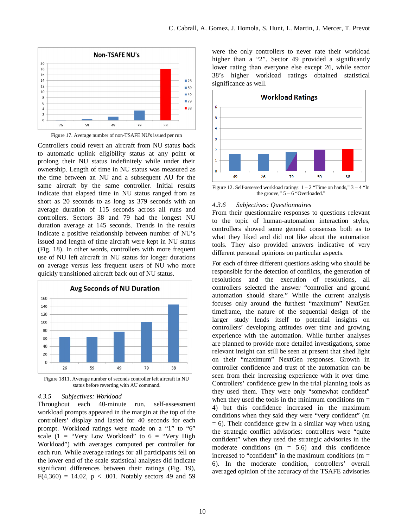



Controllers could revert an aircraft from NU status back to automatic uplink eligibility status at any point or prolong their NU status indefinitely while under their ownership. Length of time in NU status was measured as the time between an NU and a subsequent AU for the same aircraft by the same controller. Initial results indicate that elapsed time in NU status ranged from as short as 20 seconds to as long as 379 seconds with an average duration of 115 seconds across all runs and controllers. Sectors 38 and 79 had the longest NU duration average at 145 seconds. Trends in the results indicate a positive relationship between number of NU's issued and length of time aircraft were kept in NU status (Fig. 18). In other words, controllers with more frequent use of NU left aircraft in NU status for longer durations on average versus less frequent users of NU who more quickly transitioned aircraft back out of NU status.



Figure 1811. Average number of seconds controller left aircraft in NU status before reverting with AU command.

## *4.3.5 Subjectives: Workload*

Throughout each 40-minute run, self-assessment workload prompts appeared in the margin at the top of the controllers' display and lasted for 40 seconds for each prompt. Workload ratings were made on a "1" to "6" scale (1 = "Very Low Workload" to  $6 =$  "Very High Workload") with averages computed per controller for each run. While average ratings for all participants fell on the lower end of the scale statistical analyses did indicate significant differences between their ratings (Fig. 19),  $F(4,360) = 14.02$ ,  $p < .001$ . Notably sectors 49 and 59

were the only controllers to never rate their workload higher than a "2". Sector 49 provided a significantly lower rating than everyone else except 26, while sector 38's higher workload ratings obtained statistical significance as well.



Figure 12. Self-assessed workload ratings:  $1 - 2$  "Time on hands,"  $3 - 4$  "In the groove,"  $5 - 6$  "Overloaded."

# *4.3.6 Subjectives: Questionnaires*

From their questionnaire responses to questions relevant to the topic of human-automation interaction styles, controllers showed some general consensus both as to what they liked and did not like about the automation tools. They also provided answers indicative of very different personal opinions on particular aspects.

For each of three different questions asking who should be responsible for the detection of conflicts, the generation of resolutions and the execution of resolutions, all controllers selected the answer "controller and ground automation should share." While the current analysis focuses only around the furthest "maximum" NextGen timeframe, the nature of the sequential design of the larger study lends itself to potential insights on controllers' developing attitudes over time and growing experience with the automation. While further analyses are planned to provide more detailed investigations, some relevant insight can still be seen at present that shed light on their "maximum" NextGen responses. Growth in controller confidence and trust of the automation can be seen from their increasing experience with it over time. Controllers' confidence grew in the trial planning tools as they used them. They were only "somewhat confident" when they used the tools in the minimum conditions ( $m =$ 4) but this confidence increased in the maximum conditions when they said they were "very confident" (m  $= 6$ ). Their confidence grew in a similar way when using the strategic conflict advisories: controllers were "quite confident" when they used the strategic advisories in the moderate conditions  $(m = 5.6)$  and this confidence increased to "confident" in the maximum conditions ( $m =$ 6). In the moderate condition, controllers' overall averaged opinion of the accuracy of the TSAFE advisories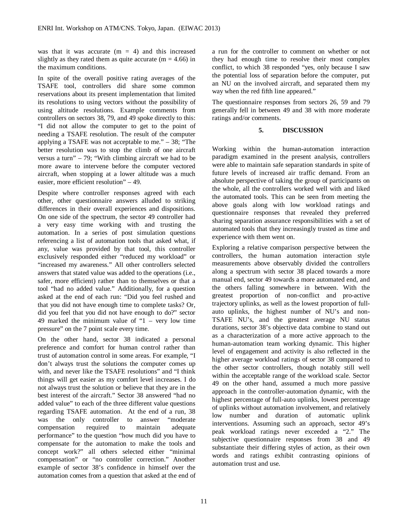was that it was accurate  $(m = 4)$  and this increased slightly as they rated them as quite accurate ( $m = 4.66$ ) in the maximum conditions.

In spite of the overall positive rating averages of the TSAFE tool, controllers did share some common reservations about its present implementation that limited its resolutions to using vectors without the possibility of using altitude resolutions. Example comments from controllers on sectors 38, 79, and 49 spoke directly to this: "I did not allow the computer to get to the point of needing a TSAFE resolution. The result of the computer applying a TSAFE was not acceptable to me." – 38; "The better resolution was to stop the climb of one aircraft versus a turn" – 79; "With climbing aircraft we had to be more aware to intervene before the computer vectored aircraft, when stopping at a lower altitude was a much easier, more efficient resolution" – 49.

Despite where controller responses agreed with each other, other questionnaire answers alluded to striking differences in their overall experiences and dispositions. On one side of the spectrum, the sector 49 controller had a very easy time working with and trusting the automation. In a series of post simulation questions referencing a list of automation tools that asked what, if any, value was provided by that tool, this controller exclusively responded either "reduced my workload" or "increased my awareness." All other controllers selected answers that stated value was added to the operations (i.e., safer, more efficient) rather than to themselves or that a tool "had no added value." Additionally, for a question asked at the end of each run: "Did you feel rushed and that you did not have enough time to complete tasks? Or, did you feel that you did not have enough to do?" sector 49 marked the minimum value of "1 – very low time pressure" on the 7 point scale every time.

On the other hand, sector 38 indicated a personal preference and comfort for human control rather than trust of automation control in some areas. For example, "I don't always trust the solutions the computer comes up with, and never like the TSAFE resolutions" and "I think things will get easier as my comfort level increases. I do not always trust the solution or believe that they are in the best interest of the aircraft." Sector 38 answered "had no added value" to each of the three different value questions regarding TSAFE automation. At the end of a run, 38 was the only controller to answer "moderate compensation required to maintain adequate performance" to the question "how much did you have to compensate for the automation to make the tools and concept work?" all others selected either "minimal compensation" or "no controller correction." Another example of sector 38's confidence in himself over the automation comes from a question that asked at the end of a run for the controller to comment on whether or not they had enough time to resolve their most complex conflict, to which 38 responded "yes, only because I saw the potential loss of separation before the computer, put an NU on the involved aircraft, and separated them my way when the red fifth line appeared."

The questionnaire responses from sectors 26, 59 and 79 generally fell in between 49 and 38 with more moderate ratings and/or comments.

# **5. DISCUSSION**

Working within the human-automation interaction paradigm examined in the present analysis, controllers were able to maintain safe separation standards in spite of future levels of increased air traffic demand. From an absolute perspective of taking the group of participants on the whole, all the controllers worked well with and liked the automated tools. This can be seen from meeting the above goals along with low workload ratings and questionnaire responses that revealed they preferred sharing separation assurance responsibilities with a set of automated tools that they increasingly trusted as time and experience with them went on.

Exploring a relative comparison perspective between the controllers, the human automation interaction style measurements above observably divided the controllers along a spectrum with sector 38 placed towards a more manual end, sector 49 towards a more automated end, and the others falling somewhere in between. With the greatest proportion of non-conflict and pro-active trajectory uplinks, as well as the lowest proportion of fullauto uplinks, the highest number of NU's and non-TSAFE NU's, and the greatest average NU status durations, sector 38's objective data combine to stand out as a characterization of a more active approach to the human-automation team working dynamic. This higher level of engagement and activity is also reflected in the higher average workload ratings of sector 38 compared to the other sector controllers, though notably still well within the acceptable range of the workload scale. Sector 49 on the other hand, assumed a much more passive approach in the controller-automation dynamic, with the highest percentage of full-auto uplinks, lowest percentage of uplinks without automation involvement, and relatively low number and duration of automatic uplink interventions. Assuming such an approach, sector 49's peak workload ratings never exceeded a "2." The subjective questionnaire responses from 38 and 49 substantiate their differing styles of action, as their own words and ratings exhibit contrasting opinions of automation trust and use.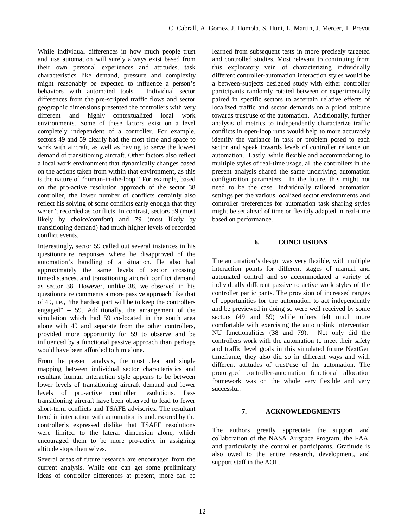While individual differences in how much people trust and use automation will surely always exist based from their own personal experiences and attitudes, task characteristics like demand, pressure and complexity might reasonably be expected to influence a person's behaviors with automated tools. Individual sector differences from the pre-scripted traffic flows and sector geographic dimensions presented the controllers with very different and highly contextualized local work environments. Some of these factors exist on a level completely independent of a controller. For example, sectors 49 and 59 clearly had the most time and space to work with aircraft, as well as having to serve the lowest demand of transitioning aircraft. Other factors also reflect a local work environment that dynamically changes based on the actions taken from within that environment, as this is the nature of "human-in-the-loop." For example, based on the pro-active resolution approach of the sector 38 controller, the lower number of conflicts certainly also reflect his solving of some conflicts early enough that they weren't recorded as conflicts. In contrast, sectors 59 (most likely by choice/comfort) and 79 (most likely by transitioning demand) had much higher levels of recorded conflict events.

Interestingly, sector 59 called out several instances in his questionnaire responses where he disapproved of the automation's handling of a situation. He also had approximately the same levels of sector crossing time/distances, and transitioning aircraft conflict demand as sector 38. However, unlike 38, we observed in his questionnaire comments a more passive approach like that of 49, i.e., "the hardest part will be to keep the controllers engaged" – 59. Additionally, the arrangement of the simulation which had 59 co-located in the south area alone with 49 and separate from the other controllers, provided more opportunity for 59 to observe and be influenced by a functional passive approach than perhaps would have been afforded to him alone.

From the present analysis, the most clear and single mapping between individual sector characteristics and resultant human interaction style appears to be between lower levels of transitioning aircraft demand and lower levels of pro-active controller resolutions. Less transitioning aircraft have been observed to lead to fewer short-term conflicts and TSAFE advisories. The resultant trend in interaction with automation is underscored by the controller's expressed dislike that TSAFE resolutions were limited to the lateral dimension alone, which encouraged them to be more pro-active in assigning altitude stops themselves.

Several areas of future research are encouraged from the current analysis. While one can get some preliminary ideas of controller differences at present, more can be

learned from subsequent tests in more precisely targeted and controlled studies. Most relevant to continuing from this exploratory vein of characterizing individually different controller-automation interaction styles would be a between-subjects designed study with either controller participants randomly rotated between or experimentally paired in specific sectors to ascertain relative effects of localized traffic and sector demands on a priori attitude towards trust/use of the automation. Additionally, further analysis of metrics to independently characterize traffic conflicts in open-loop runs would help to more accurately identify the variance in task or problem posed to each sector and speak towards levels of controller reliance on automation. Lastly, while flexible and accommodating to multiple styles of real-time usage, all the controllers in the present analysis shared the same underlying automation configuration parameters. In the future, this might not need to be the case. Individually tailored automation settings per the various localized sector environments and controller preferences for automation task sharing styles might be set ahead of time or flexibly adapted in real-time based on performance.

# **6. CONCLUSIONS**

The automation's design was very flexible, with multiple interaction points for different stages of manual and automated control and so accommodated a variety of individually different passive to active work styles of the controller participants. The provision of increased ranges of opportunities for the automation to act independently and be previewed in doing so were well received by some sectors (49 and 59) while others felt much more comfortable with exercising the auto uplink intervention NU functionalities (38 and 79). Not only did the controllers work with the automation to meet their safety and traffic level goals in this simulated future NextGen timeframe, they also did so in different ways and with different attitudes of trust/use of the automation. The prototyped controller-automation functional allocation framework was on the whole very flexible and very successful.

# **7. ACKNOWLEDGMENTS**

The authors greatly appreciate the support and collaboration of the NASA Airspace Program, the FAA, and particularly the controller participants. Gratitude is also owed to the entire research, development, and support staff in the AOL.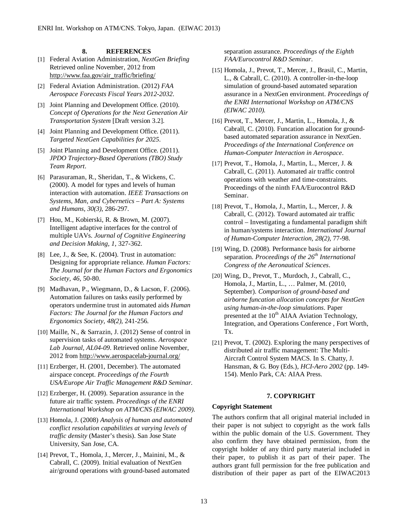# **8. REFERENCES**

- [1] Federal Aviation Administration, *NextGen Briefing* Retrieved online November, 2012 from http://www.faa.gov/air\_traffic/briefing/
- [2] Federal Aviation Administration. (2012) *FAA Aerospace Forecasts Fiscal Years 2012-2032*.
- [3] Joint Planning and Development Office. (2010). *Concept of Operations for the Next Generation Air Transportation System* [Draft version 3.2].
- [4] Joint Planning and Development Office. (2011). *Targeted NextGen Capabilities for 2025*.
- [5] Joint Planning and Development Office. (2011). *JPDO Trajectory-Based Operations (TBO) Study Team Report*.
- [6] Parasuraman, R., Sheridan, T., & Wickens, C. (2000). A model for types and levels of human interaction with automation. *IEEE Transactions on Systems, Man, and Cybernetics – Part A: Systems and Humans, 30(3)*, 286-297.
- [7] Hou, M., Kobierski, R. & Brown, M. (2007). Intelligent adaptive interfaces for the control of multiple UAVs. *Journal of Cognitive Engineering and Decision Making, 1*, 327-362.
- [8] Lee, J., & See, K.  $(2004)$ . Trust in automation: Designing for appropriate reliance. *Human Factors: The Journal for the Human Factors and Ergonomics Society, 46*, 50-80.
- [9] Madhavan, P., Wiegmann, D., & Lacson, F. (2006). Automation failures on tasks easily performed by operators undermine trust in automated aids *Human Factors: The Journal for the Human Factors and Ergonomics Society, 48(2),* 241-256*.*
- [10] Maille, N., & Sarrazin, J. (2012) Sense of control in supervision tasks of automated systems. *Aerospace Lab Journal, AL04-09*. Retrieved online November, 2012 from http://www.aerospacelab-journal.org/
- [11] Erzberger, H. (2001, December). The automated airspace concept. *Proceedings of the Fourth USA/Europe Air Traffic Management R&D Seminar.*
- [12] Erzberger, H. (2009). Separation assurance in the future air traffic system. *Proceedings of the ENRI International Workshop on ATM/CNS (EIWAC 2009)*.
- [13] Homola, J. (2008) *Analysis of human and automated conflict resolution capabilities at varying levels of traffic density* (Master's thesis). San Jose State University, San Jose, CA.
- [14] Prevot, T., Homola, J., Mercer, J., Mainini, M., & Cabrall, C. (2009). Initial evaluation of NextGen air/ground operations with ground-based automated

separation assurance. *Proceedings of the Eighth FAA/Eurocontrol R&D Seminar*.

- [15] Homola, J., Prevot, T., Mercer, J., Brasil, C., Martin, L., & Cabrall, C. (2010). A controller-in-the-loop simulation of ground-based automated separation assurance in a NextGen environment. *Proceedings of the ENRI International Workshop on ATM/CNS (EIWAC 2010).*
- [16] Prevot, T., Mercer, J., Martin, L., Homola, J., & Cabrall, C. (2010). Funcation allocation for groundbased automated separation assurance in NextGen. *Proceedings of the International Conference on Human-Computer Interaction in Aerospace*.
- [17] Prevot, T., Homola, J., Martin, L., Mercer, J. & Cabrall, C. (2011). Automated air traffic control operations with weather and time-constraints. Proceedings of the ninth FAA/Eurocontrol R&D Seminar.
- [18] Prevot, T., Homola, J., Martin, L., Mercer, J. & Cabrall, C. (2012). Toward automated air traffic control – Investigating a fundamental paradigm shift in human/systems interaction. *International Journal of Human-Computer Interaction, 28(2),* 77-98.
- [19] Wing, D. (2008). Performance basis for airborne separation*. Proceedings of the 26th International Congress of the Aeronautical Sciences*.
- [20] Wing, D., Prevot, T., Murdoch, J., Cabrall, C., Homola, J., Martin, L., … Palmer, M. (2010, September). *Comparison of ground-based and airborne funcation allocation concepts for NextGen using human-in-the-loop simulations*. Paper presented at the  $10<sup>th</sup>$  AIAA Aviation Technology, Integration, and Operations Conference , Fort Worth, Tx.
- [21] Prevot, T. (2002). Exploring the many perspectives of distributed air traffic management: The Multi-Aircraft Control System MACS. In S. Chatty, J. Hansman, & G. Boy (Eds.), *HCI-Aero 2002* (pp. 149- 154). Menlo Park, CA: AIAA Press.

## **7. COPYRIGHT**

#### **Copyright Statement**

The authors confirm that all original material included in their paper is not subject to copyright as the work falls within the public domain of the U.S. Government. They also confirm they have obtained permission, from the copyright holder of any third party material included in their paper, to publish it as part of their paper. The authors grant full permission for the free publication and distribution of their paper as part of the EIWAC2013